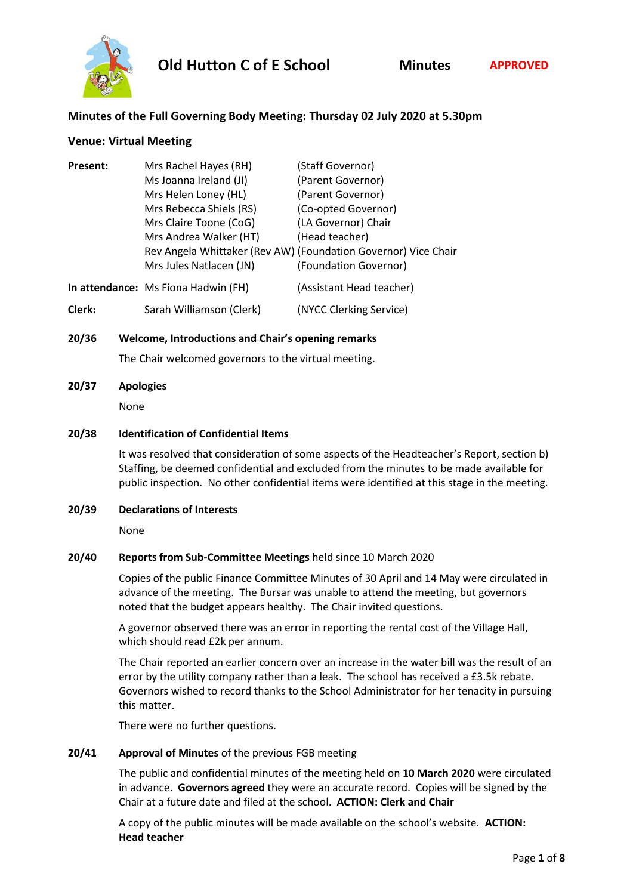

# **Minutes of the Full Governing Body Meeting: Thursday 02 July 2020 at 5.30pm**

#### **Venue: Virtual Meeting**

| <b>Present:</b> | Mrs Rachel Hayes (RH)               | (Staff Governor)                                               |
|-----------------|-------------------------------------|----------------------------------------------------------------|
|                 | Ms Joanna Ireland (JI)              | (Parent Governor)                                              |
|                 | Mrs Helen Loney (HL)                | (Parent Governor)                                              |
|                 | Mrs Rebecca Shiels (RS)             | (Co-opted Governor)                                            |
|                 | Mrs Claire Toone (CoG)              | (LA Governor) Chair                                            |
|                 | Mrs Andrea Walker (HT)              | (Head teacher)                                                 |
|                 |                                     | Rev Angela Whittaker (Rev AW) (Foundation Governor) Vice Chair |
|                 | Mrs Jules Natlacen (JN)             | (Foundation Governor)                                          |
|                 | In attendance: Ms Fiona Hadwin (FH) | (Assistant Head teacher)                                       |

**Clerk:** Sarah Williamson (Clerk) (NYCC Clerking Service)

#### **20/36 Welcome, Introductions and Chair's opening remarks**

The Chair welcomed governors to the virtual meeting.

#### **20/37 Apologies**

None

#### **20/38 Identification of Confidential Items**

It was resolved that consideration of some aspects of the Headteacher's Report, section b) Staffing, be deemed confidential and excluded from the minutes to be made available for public inspection. No other confidential items were identified at this stage in the meeting.

#### **20/39 Declarations of Interests**

None

## **20/40 Reports from Sub-Committee Meetings** held since 10 March 2020

Copies of the public Finance Committee Minutes of 30 April and 14 May were circulated in advance of the meeting. The Bursar was unable to attend the meeting, but governors noted that the budget appears healthy. The Chair invited questions.

A governor observed there was an error in reporting the rental cost of the Village Hall, which should read £2k per annum.

The Chair reported an earlier concern over an increase in the water bill was the result of an error by the utility company rather than a leak. The school has received a £3.5k rebate. Governors wished to record thanks to the School Administrator for her tenacity in pursuing this matter.

There were no further questions.

## **20/41 Approval of Minutes** of the previous FGB meeting

The public and confidential minutes of the meeting held on **10 March 2020** were circulated in advance. **Governors agreed** they were an accurate record. Copies will be signed by the Chair at a future date and filed at the school. **ACTION: Clerk and Chair**

A copy of the public minutes will be made available on the school's website. **ACTION: Head teacher**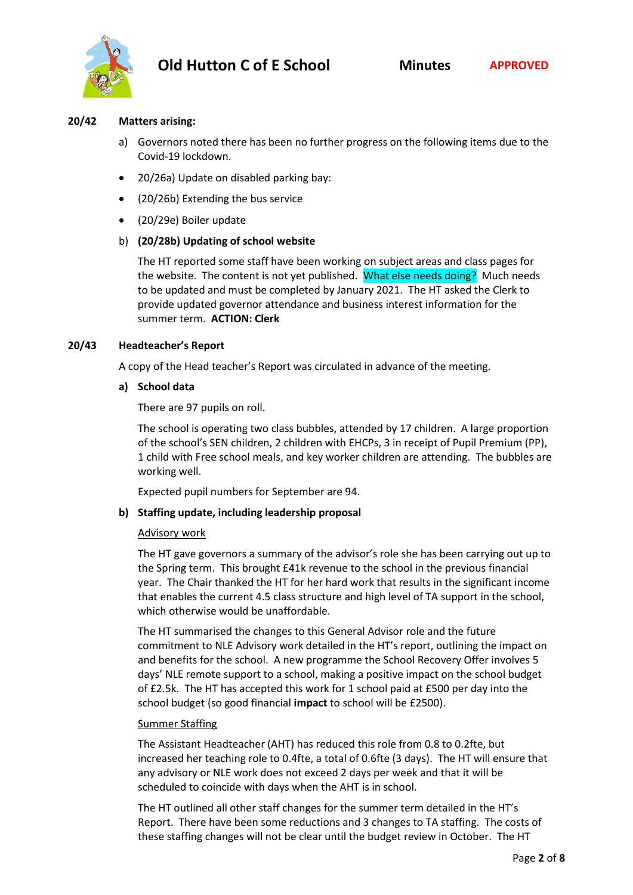

#### **20/42 Matters arising:**

- a) Governors noted there has been no further progress on the following items due to the Covid-19 lockdown.
- 20/26a) Update on disabled parking bay:
- (20/26b) Extending the bus service
- (20/29e) Boiler update

## b) **(20/28b) Updating of school website**

The HT reported some staff have been working on subject areas and class pages for the website. The content is not yet published. What else needs doing? Much needs to be updated and must be completed by January 2021. The HT asked the Clerk to provide updated governor attendance and business interest information for the summer term. **ACTION: Clerk**

## **20/43 Headteacher's Report**

A copy of the Head teacher's Report was circulated in advance of the meeting.

**a) School data**

There are 97 pupils on roll.

The school is operating two class bubbles, attended by 17 children. A large proportion of the school's SEN children, 2 children with EHCPs, 3 in receipt of Pupil Premium (PP), 1 child with Free school meals, and key worker children are attending. The bubbles are working well.

Expected pupil numbers for September are 94.

## **b) Staffing update, including leadership proposal**

## Advisory work

The HT gave governors a summary of the advisor's role she has been carrying out up to the Spring term. This brought £41k revenue to the school in the previous financial year. The Chair thanked the HT for her hard work that results in the significant income that enables the current 4.5 class structure and high level of TA support in the school, which otherwise would be unaffordable.

The HT summarised the changes to this General Advisor role and the future commitment to NLE Advisory work detailed in the HT's report, outlining the impact on and benefits for the school. A new programme the School Recovery Offer involves 5 days' NLE remote support to a school, making a positive impact on the school budget of £2.5k. The HT has accepted this work for 1 school paid at £500 per day into the school budget (so good financial **impact** to school will be £2500).

## Summer Staffing

The Assistant Headteacher (AHT) has reduced this role from 0.8 to 0.2fte, but increased her teaching role to 0.4fte, a total of 0.6fte (3 days). The HT will ensure that any advisory or NLE work does not exceed 2 days per week and that it will be scheduled to coincide with days when the AHT is in school.

The HT outlined all other staff changes for the summer term detailed in the HT's Report. There have been some reductions and 3 changes to TA staffing. The costs of these staffing changes will not be clear until the budget review in October. The HT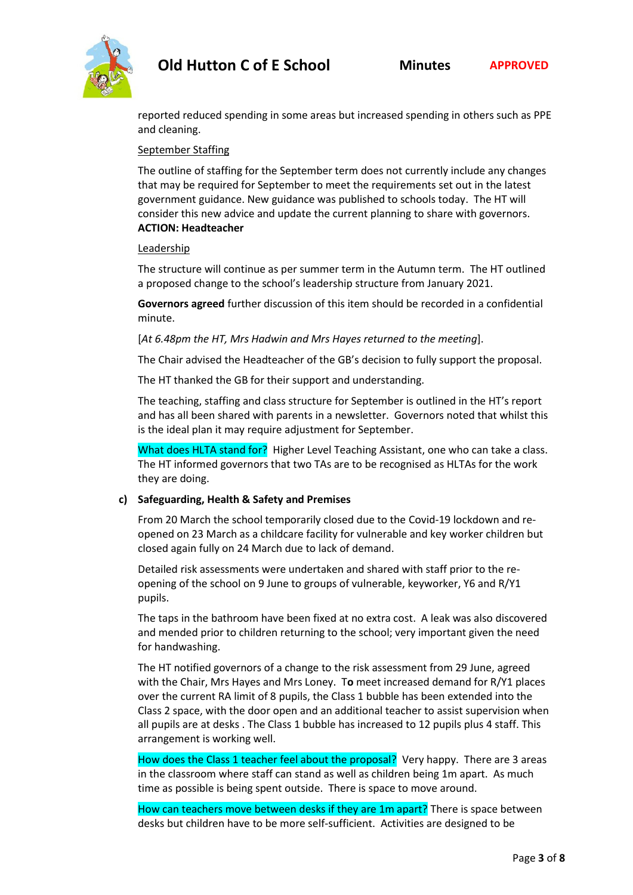

reported reduced spending in some areas but increased spending in others such as PPE and cleaning.

#### September Staffing

The outline of staffing for the September term does not currently include any changes that may be required for September to meet the requirements set out in the latest government guidance. New guidance was published to schools today. The HT will consider this new advice and update the current planning to share with governors. **ACTION: Headteacher**

#### Leadership

The structure will continue as per summer term in the Autumn term. The HT outlined a proposed change to the school's leadership structure from January 2021.

**Governors agreed** further discussion of this item should be recorded in a confidential minute.

[*At 6.48pm the HT, Mrs Hadwin and Mrs Hayes returned to the meeting*].

The Chair advised the Headteacher of the GB's decision to fully support the proposal.

The HT thanked the GB for their support and understanding.

The teaching, staffing and class structure for September is outlined in the HT's report and has all been shared with parents in a newsletter. Governors noted that whilst this is the ideal plan it may require adjustment for September.

What does HLTA stand for? Higher Level Teaching Assistant, one who can take a class. The HT informed governors that two TAs are to be recognised as HLTAs for the work they are doing.

## **c) Safeguarding, Health & Safety and Premises**

From 20 March the school temporarily closed due to the Covid-19 lockdown and reopened on 23 March as a childcare facility for vulnerable and key worker children but closed again fully on 24 March due to lack of demand.

Detailed risk assessments were undertaken and shared with staff prior to the reopening of the school on 9 June to groups of vulnerable, keyworker, Y6 and R/Y1 pupils.

The taps in the bathroom have been fixed at no extra cost. A leak was also discovered and mended prior to children returning to the school; very important given the need for handwashing.

The HT notified governors of a change to the risk assessment from 29 June, agreed with the Chair, Mrs Hayes and Mrs Loney. T**o** meet increased demand for R/Y1 places over the current RA limit of 8 pupils, the Class 1 bubble has been extended into the Class 2 space, with the door open and an additional teacher to assist supervision when all pupils are at desks . The Class 1 bubble has increased to 12 pupils plus 4 staff. This arrangement is working well.

How does the Class 1 teacher feel about the proposal? Very happy. There are 3 areas in the classroom where staff can stand as well as children being 1m apart. As much time as possible is being spent outside. There is space to move around.

How can teachers move between desks if they are 1m apart? There is space between desks but children have to be more self-sufficient. Activities are designed to be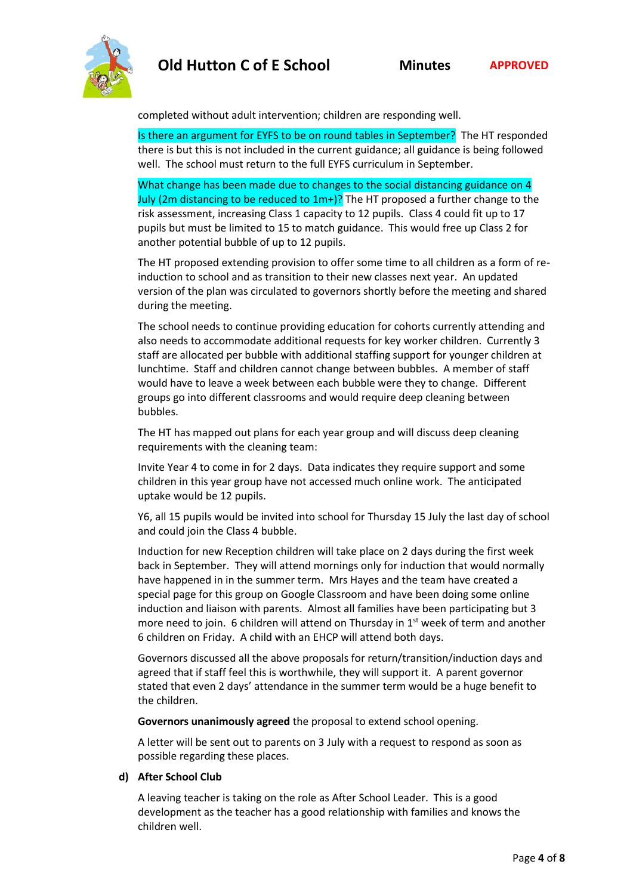

completed without adult intervention; children are responding well.

Is there an argument for EYFS to be on round tables in September? The HT responded there is but this is not included in the current guidance; all guidance is being followed well. The school must return to the full EYFS curriculum in September.

What change has been made due to changes to the social distancing guidance on 4 July (2m distancing to be reduced to  $1m+$ )? The HT proposed a further change to the risk assessment, increasing Class 1 capacity to 12 pupils. Class 4 could fit up to 17 pupils but must be limited to 15 to match guidance. This would free up Class 2 for another potential bubble of up to 12 pupils.

The HT proposed extending provision to offer some time to all children as a form of reinduction to school and as transition to their new classes next year. An updated version of the plan was circulated to governors shortly before the meeting and shared during the meeting.

The school needs to continue providing education for cohorts currently attending and also needs to accommodate additional requests for key worker children. Currently 3 staff are allocated per bubble with additional staffing support for younger children at lunchtime. Staff and children cannot change between bubbles. A member of staff would have to leave a week between each bubble were they to change. Different groups go into different classrooms and would require deep cleaning between bubbles.

The HT has mapped out plans for each year group and will discuss deep cleaning requirements with the cleaning team:

Invite Year 4 to come in for 2 days. Data indicates they require support and some children in this year group have not accessed much online work. The anticipated uptake would be 12 pupils.

Y6, all 15 pupils would be invited into school for Thursday 15 July the last day of school and could join the Class 4 bubble.

Induction for new Reception children will take place on 2 days during the first week back in September. They will attend mornings only for induction that would normally have happened in in the summer term. Mrs Hayes and the team have created a special page for this group on Google Classroom and have been doing some online induction and liaison with parents. Almost all families have been participating but 3 more need to join. 6 children will attend on Thursday in  $1<sup>st</sup>$  week of term and another 6 children on Friday. A child with an EHCP will attend both days.

Governors discussed all the above proposals for return/transition/induction days and agreed that if staff feel this is worthwhile, they will support it. A parent governor stated that even 2 days' attendance in the summer term would be a huge benefit to the children.

**Governors unanimously agreed** the proposal to extend school opening.

A letter will be sent out to parents on 3 July with a request to respond as soon as possible regarding these places.

## **d) After School Club**

A leaving teacher is taking on the role as After School Leader. This is a good development as the teacher has a good relationship with families and knows the children well.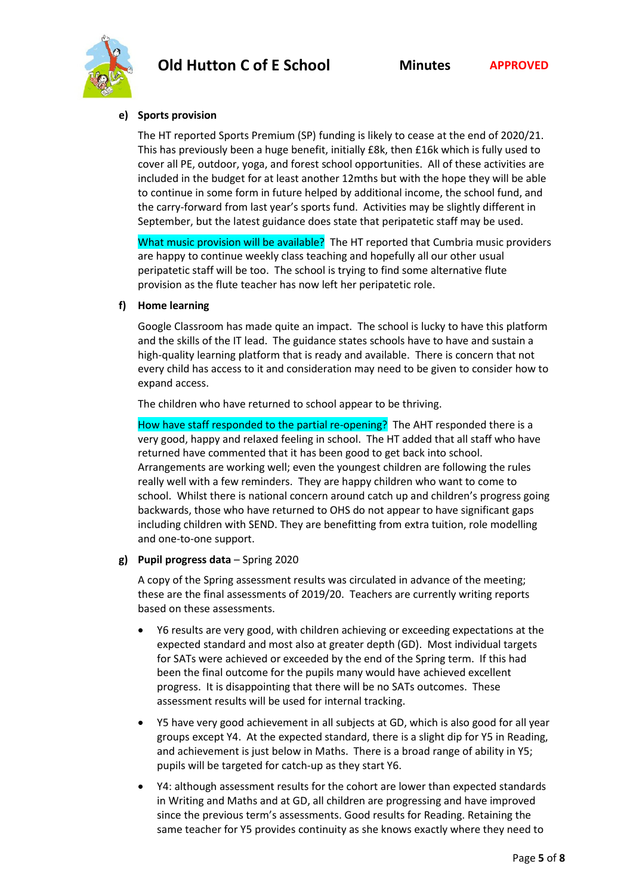

#### **e) Sports provision**

The HT reported Sports Premium (SP) funding is likely to cease at the end of 2020/21. This has previously been a huge benefit, initially £8k, then £16k which is fully used to cover all PE, outdoor, yoga, and forest school opportunities. All of these activities are included in the budget for at least another 12mths but with the hope they will be able to continue in some form in future helped by additional income, the school fund, and the carry-forward from last year's sports fund. Activities may be slightly different in September, but the latest guidance does state that peripatetic staff may be used.

What music provision will be available? The HT reported that Cumbria music providers are happy to continue weekly class teaching and hopefully all our other usual peripatetic staff will be too. The school is trying to find some alternative flute provision as the flute teacher has now left her peripatetic role.

#### **f) Home learning**

Google Classroom has made quite an impact. The school is lucky to have this platform and the skills of the IT lead. The guidance states schools have to have and sustain a high-quality learning platform that is ready and available. There is concern that not every child has access to it and consideration may need to be given to consider how to expand access.

The children who have returned to school appear to be thriving.

How have staff responded to the partial re-opening? The AHT responded there is a very good, happy and relaxed feeling in school. The HT added that all staff who have returned have commented that it has been good to get back into school. Arrangements are working well; even the youngest children are following the rules really well with a few reminders. They are happy children who want to come to school. Whilst there is national concern around catch up and children's progress going backwards, those who have returned to OHS do not appear to have significant gaps including children with SEND. They are benefitting from extra tuition, role modelling and one-to-one support.

## **g) Pupil progress data** – Spring 2020

A copy of the Spring assessment results was circulated in advance of the meeting; these are the final assessments of 2019/20. Teachers are currently writing reports based on these assessments.

- Y6 results are very good, with children achieving or exceeding expectations at the expected standard and most also at greater depth (GD). Most individual targets for SATs were achieved or exceeded by the end of the Spring term. If this had been the final outcome for the pupils many would have achieved excellent progress. It is disappointing that there will be no SATs outcomes. These assessment results will be used for internal tracking.
- Y5 have very good achievement in all subjects at GD, which is also good for all year groups except Y4. At the expected standard, there is a slight dip for Y5 in Reading, and achievement is just below in Maths. There is a broad range of ability in Y5; pupils will be targeted for catch-up as they start Y6.
- Y4: although assessment results for the cohort are lower than expected standards in Writing and Maths and at GD, all children are progressing and have improved since the previous term's assessments. Good results for Reading. Retaining the same teacher for Y5 provides continuity as she knows exactly where they need to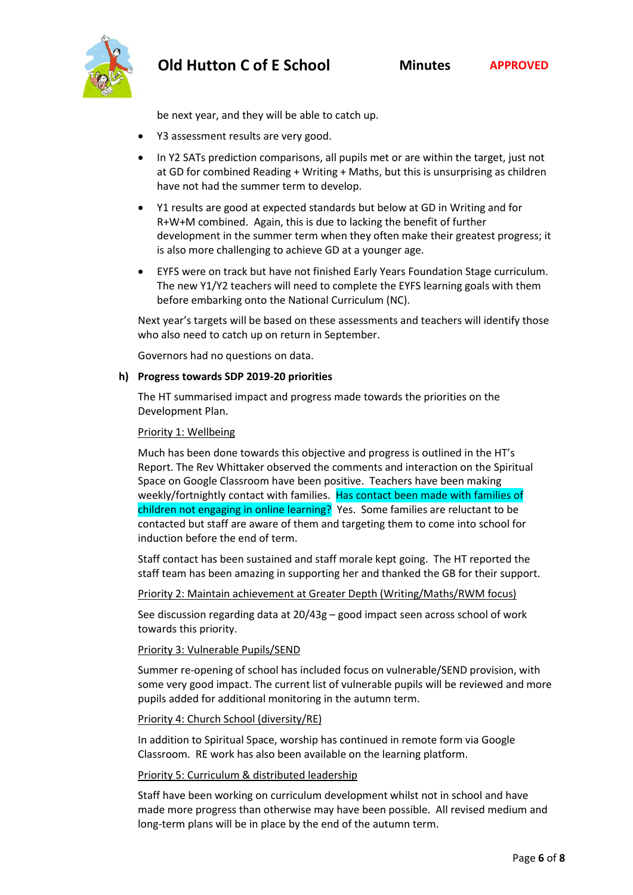be next year, and they will be able to catch up.

- Y3 assessment results are very good.
- In Y2 SATs prediction comparisons, all pupils met or are within the target, just not at GD for combined Reading + Writing + Maths, but this is unsurprising as children have not had the summer term to develop.
- Y1 results are good at expected standards but below at GD in Writing and for R+W+M combined. Again, this is due to lacking the benefit of further development in the summer term when they often make their greatest progress; it is also more challenging to achieve GD at a younger age.
- EYFS were on track but have not finished Early Years Foundation Stage curriculum. The new Y1/Y2 teachers will need to complete the EYFS learning goals with them before embarking onto the National Curriculum (NC).

Next year's targets will be based on these assessments and teachers will identify those who also need to catch up on return in September.

Governors had no questions on data.

## **h) Progress towards SDP 2019-20 priorities**

The HT summarised impact and progress made towards the priorities on the Development Plan.

## Priority 1: Wellbeing

Much has been done towards this objective and progress is outlined in the HT's Report. The Rev Whittaker observed the comments and interaction on the Spiritual Space on Google Classroom have been positive. Teachers have been making weekly/fortnightly contact with families. Has contact been made with families of children not engaging in online learning? Yes. Some families are reluctant to be contacted but staff are aware of them and targeting them to come into school for induction before the end of term.

Staff contact has been sustained and staff morale kept going. The HT reported the staff team has been amazing in supporting her and thanked the GB for their support.

## Priority 2: Maintain achievement at Greater Depth (Writing/Maths/RWM focus)

See discussion regarding data at 20/43g – good impact seen across school of work towards this priority.

## Priority 3: Vulnerable Pupils/SEND

Summer re-opening of school has included focus on vulnerable/SEND provision, with some very good impact. The current list of vulnerable pupils will be reviewed and more pupils added for additional monitoring in the autumn term.

## Priority 4: Church School (diversity/RE)

In addition to Spiritual Space, worship has continued in remote form via Google Classroom. RE work has also been available on the learning platform.

## Priority 5: Curriculum & distributed leadership

Staff have been working on curriculum development whilst not in school and have made more progress than otherwise may have been possible. All revised medium and long-term plans will be in place by the end of the autumn term.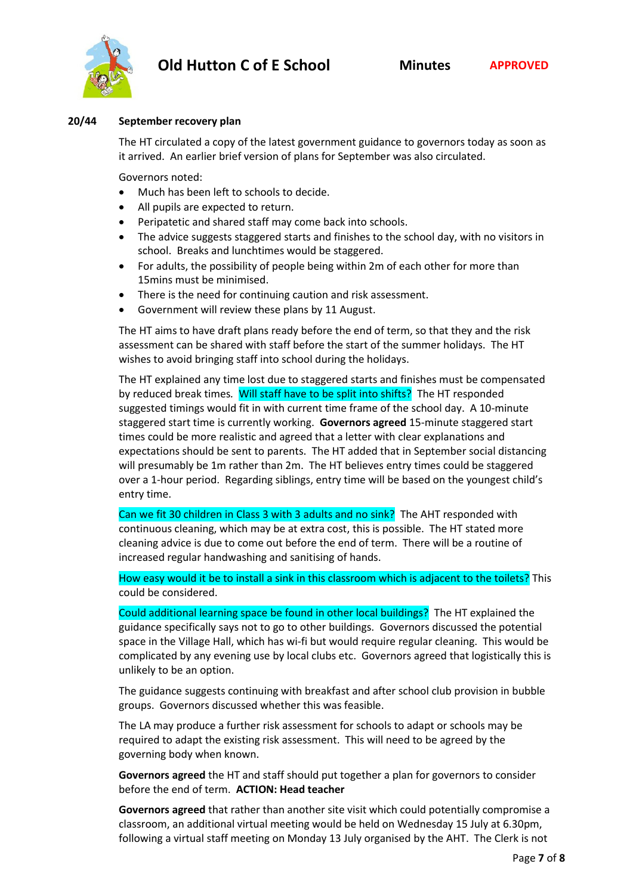

#### **20/44 September recovery plan**

The HT circulated a copy of the latest government guidance to governors today as soon as it arrived. An earlier brief version of plans for September was also circulated.

Governors noted:

- Much has been left to schools to decide.
- All pupils are expected to return.
- Peripatetic and shared staff may come back into schools.
- The advice suggests staggered starts and finishes to the school day, with no visitors in school. Breaks and lunchtimes would be staggered.
- For adults, the possibility of people being within 2m of each other for more than 15mins must be minimised.
- There is the need for continuing caution and risk assessment.
- Government will review these plans by 11 August.

The HT aims to have draft plans ready before the end of term, so that they and the risk assessment can be shared with staff before the start of the summer holidays. The HT wishes to avoid bringing staff into school during the holidays.

The HT explained any time lost due to staggered starts and finishes must be compensated by reduced break times*.* Will staff have to be split into shifts? The HT responded suggested timings would fit in with current time frame of the school day. A 10-minute staggered start time is currently working. **Governors agreed** 15-minute staggered start times could be more realistic and agreed that a letter with clear explanations and expectations should be sent to parents. The HT added that in September social distancing will presumably be 1m rather than 2m. The HT believes entry times could be staggered over a 1-hour period. Regarding siblings, entry time will be based on the youngest child's entry time.

Can we fit 30 children in Class 3 with 3 adults and no sink? The AHT responded with continuous cleaning, which may be at extra cost, this is possible. The HT stated more cleaning advice is due to come out before the end of term. There will be a routine of increased regular handwashing and sanitising of hands.

How easy would it be to install a sink in this classroom which is adjacent to the toilets? This could be considered.

Could additional learning space be found in other local buildings? The HT explained the guidance specifically says not to go to other buildings. Governors discussed the potential space in the Village Hall, which has wi-fi but would require regular cleaning. This would be complicated by any evening use by local clubs etc. Governors agreed that logistically this is unlikely to be an option.

The guidance suggests continuing with breakfast and after school club provision in bubble groups. Governors discussed whether this was feasible.

The LA may produce a further risk assessment for schools to adapt or schools may be required to adapt the existing risk assessment. This will need to be agreed by the governing body when known.

**Governors agreed** the HT and staff should put together a plan for governors to consider before the end of term. **ACTION: Head teacher**

**Governors agreed** that rather than another site visit which could potentially compromise a classroom, an additional virtual meeting would be held on Wednesday 15 July at 6.30pm, following a virtual staff meeting on Monday 13 July organised by the AHT. The Clerk is not